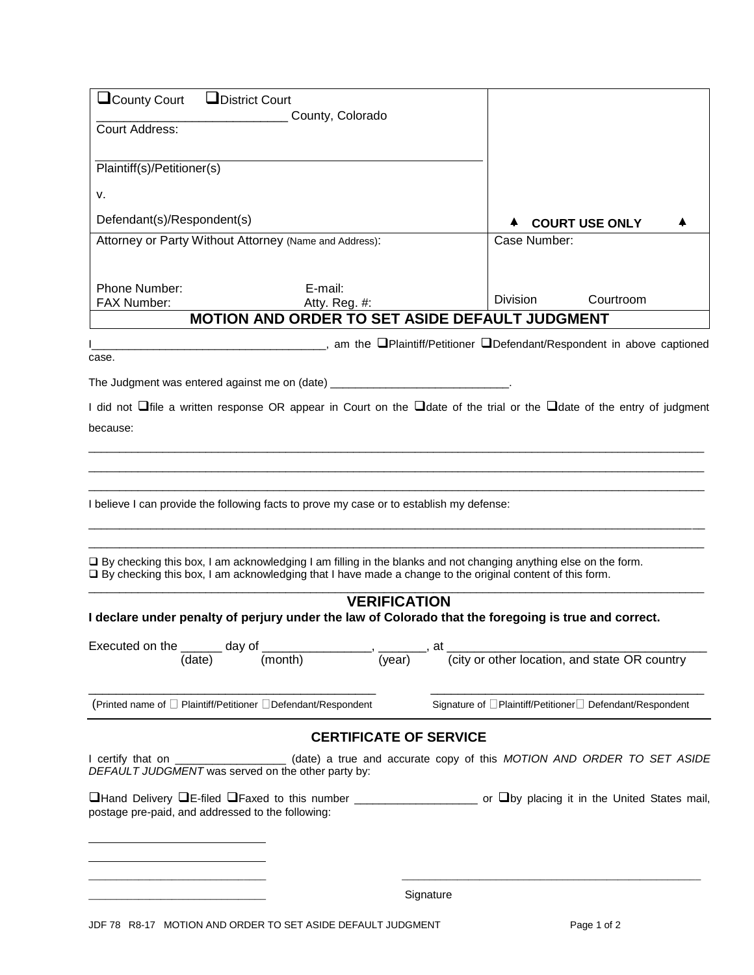| $\Box$ County Court                                                                                                                                                                                                                  | <b>L</b> District Court                                                                                  |                  |                       |                                                           |
|--------------------------------------------------------------------------------------------------------------------------------------------------------------------------------------------------------------------------------------|----------------------------------------------------------------------------------------------------------|------------------|-----------------------|-----------------------------------------------------------|
| County, Colorado<br>Court Address:                                                                                                                                                                                                   |                                                                                                          |                  |                       |                                                           |
| Plaintiff(s)/Petitioner(s)                                                                                                                                                                                                           |                                                                                                          |                  |                       |                                                           |
| ν.                                                                                                                                                                                                                                   |                                                                                                          |                  |                       |                                                           |
| Defendant(s)/Respondent(s)                                                                                                                                                                                                           |                                                                                                          |                  | <b>COURT USE ONLY</b> |                                                           |
| Attorney or Party Without Attorney (Name and Address):                                                                                                                                                                               |                                                                                                          |                  | Case Number:          |                                                           |
| Phone Number:                                                                                                                                                                                                                        | E-mail:                                                                                                  |                  | <b>Division</b>       | Courtroom                                                 |
| FAX Number:                                                                                                                                                                                                                          | Atty. Reg. #:<br><b>MOTION AND ORDER TO SET ASIDE DEFAULT JUDGMENT</b>                                   |                  |                       |                                                           |
| case.<br>The Judgment was entered against me on (date) __________________________________                                                                                                                                            | <u>_________________________</u> , am the □Plaintiff/Petitioner □Defendant/Respondent in above captioned |                  |                       |                                                           |
| I did not $\Box$ file a written response OR appear in Court on the $\Box$ date of the trial or the $\Box$ date of the entry of judgment                                                                                              |                                                                                                          |                  |                       |                                                           |
| because:                                                                                                                                                                                                                             |                                                                                                          |                  |                       |                                                           |
|                                                                                                                                                                                                                                      |                                                                                                          |                  |                       |                                                           |
|                                                                                                                                                                                                                                      |                                                                                                          |                  |                       |                                                           |
| I believe I can provide the following facts to prove my case or to establish my defense:                                                                                                                                             |                                                                                                          |                  |                       |                                                           |
| $\Box$ By checking this box, I am acknowledging I am filling in the blanks and not changing anything else on the form.<br>□ By checking this box, I am acknowledging that I have made a change to the original content of this form. |                                                                                                          |                  |                       |                                                           |
|                                                                                                                                                                                                                                      | <b>VERIFICATION</b>                                                                                      |                  |                       |                                                           |
| I declare under penalty of perjury under the law of Colorado that the foregoing is true and correct.                                                                                                                                 |                                                                                                          |                  |                       |                                                           |
| Executed on the _______ day of _______________                                                                                                                                                                                       |                                                                                                          | _, _______, at _ |                       |                                                           |
| (date)                                                                                                                                                                                                                               | $\overline{(year)}$<br>(month)                                                                           |                  |                       | (city or other location, and state OR country             |
| (Printed name of □ Plaintiff/Petitioner □ Defendant/Respondent                                                                                                                                                                       |                                                                                                          |                  |                       | Signature of □Plaintiff/Petitioner □ Defendant/Respondent |
|                                                                                                                                                                                                                                      | <b>CERTIFICATE OF SERVICE</b>                                                                            |                  |                       |                                                           |
| I certify that on<br>DEFAULT JUDGMENT was served on the other party by:                                                                                                                                                              | (date) a true and accurate copy of this MOTION AND ORDER TO SET ASIDE                                    |                  |                       |                                                           |
| postage pre-paid, and addressed to the following:                                                                                                                                                                                    |                                                                                                          |                  |                       |                                                           |
|                                                                                                                                                                                                                                      |                                                                                                          |                  |                       |                                                           |
|                                                                                                                                                                                                                                      |                                                                                                          | Signature        |                       |                                                           |